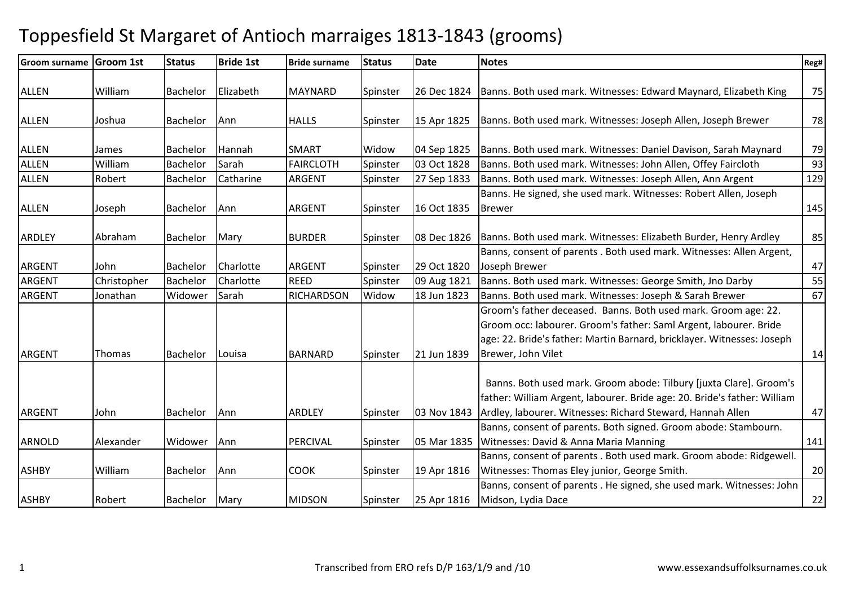| <b>Groom surname</b> | Groom 1st    | <b>Status</b> | <b>Bride 1st</b> | <b>Bride surname</b> | <b>Status</b> | <b>Date</b> | <b>Notes</b>                                                                                                                                                                                                                        | Reg# |
|----------------------|--------------|---------------|------------------|----------------------|---------------|-------------|-------------------------------------------------------------------------------------------------------------------------------------------------------------------------------------------------------------------------------------|------|
| <b>ALLEN</b>         | William      | Bachelor      | Elizabeth        | <b>MAYNARD</b>       | Spinster      | 26 Dec 1824 | Banns. Both used mark. Witnesses: Edward Maynard, Elizabeth King                                                                                                                                                                    | 75   |
| <b>ALLEN</b>         | Joshua       | Bachelor      | Ann              | <b>HALLS</b>         | Spinster      | 15 Apr 1825 | Banns. Both used mark. Witnesses: Joseph Allen, Joseph Brewer                                                                                                                                                                       | 78   |
| <b>ALLEN</b>         | <b>James</b> | Bachelor      | Hannah           | <b>SMART</b>         | Widow         | 04 Sep 1825 | Banns. Both used mark. Witnesses: Daniel Davison, Sarah Maynard                                                                                                                                                                     | 79   |
| <b>ALLEN</b>         | William      | Bachelor      | Sarah            | <b>FAIRCLOTH</b>     | Spinster      | 03 Oct 1828 | Banns. Both used mark. Witnesses: John Allen, Offey Faircloth                                                                                                                                                                       | 93   |
| <b>ALLEN</b>         | Robert       | Bachelor      | Catharine        | ARGENT               | Spinster      | 27 Sep 1833 | Banns. Both used mark. Witnesses: Joseph Allen, Ann Argent                                                                                                                                                                          | 129  |
| <b>ALLEN</b>         | Joseph       | Bachelor      | Ann              | <b>ARGENT</b>        | Spinster      | 16 Oct 1835 | Banns. He signed, she used mark. Witnesses: Robert Allen, Joseph<br><b>Brewer</b>                                                                                                                                                   | 145  |
| ARDLEY               | Abraham      | Bachelor      | Mary             | <b>BURDER</b>        | Spinster      | 08 Dec 1826 | Banns. Both used mark. Witnesses: Elizabeth Burder, Henry Ardley                                                                                                                                                                    | 85   |
| <b>ARGENT</b>        | John         | Bachelor      | Charlotte        | <b>ARGENT</b>        | Spinster      | 29 Oct 1820 | Banns, consent of parents . Both used mark. Witnesses: Allen Argent,<br>Joseph Brewer                                                                                                                                               | 47   |
| <b>ARGENT</b>        | Christopher  | Bachelor      | Charlotte        | <b>REED</b>          | Spinster      | 09 Aug 1821 | Banns. Both used mark. Witnesses: George Smith, Jno Darby                                                                                                                                                                           | 55   |
| ARGENT               | Jonathan     | Widower       | Sarah            | <b>RICHARDSON</b>    | Widow         | 18 Jun 1823 | Banns. Both used mark. Witnesses: Joseph & Sarah Brewer                                                                                                                                                                             | 67   |
| <b>ARGENT</b>        | Thomas       | Bachelor      | Louisa           | <b>BARNARD</b>       | Spinster      | 21 Jun 1839 | Groom's father deceased. Banns. Both used mark. Groom age: 22.<br>Groom occ: labourer. Groom's father: Saml Argent, labourer. Bride<br>age: 22. Bride's father: Martin Barnard, bricklayer. Witnesses: Joseph<br>Brewer, John Vilet | 14   |
| <b>ARGENT</b>        | John         | Bachelor      | Ann              | <b>ARDLEY</b>        | Spinster      | 03 Nov 1843 | Banns. Both used mark. Groom abode: Tilbury [juxta Clare]. Groom's<br>father: William Argent, labourer. Bride age: 20. Bride's father: William<br>Ardley, labourer. Witnesses: Richard Steward, Hannah Allen                        | 47   |
|                      |              |               |                  |                      |               |             | Banns, consent of parents. Both signed. Groom abode: Stambourn.                                                                                                                                                                     |      |
| <b>ARNOLD</b>        | Alexander    | Widower       | Ann              | PERCIVAL             | Spinster      | 05 Mar 1835 | Witnesses: David & Anna Maria Manning                                                                                                                                                                                               | 141  |
| <b>ASHBY</b>         | William      | Bachelor      | Ann              | <b>COOK</b>          | Spinster      | 19 Apr 1816 | Banns, consent of parents . Both used mark. Groom abode: Ridgewell.<br>Witnesses: Thomas Eley junior, George Smith.                                                                                                                 | 20   |
| <b>ASHBY</b>         | Robert       | Bachelor      | Mary             | <b>MIDSON</b>        | Spinster      | 25 Apr 1816 | Banns, consent of parents . He signed, she used mark. Witnesses: John<br>Midson, Lydia Dace                                                                                                                                         | 22   |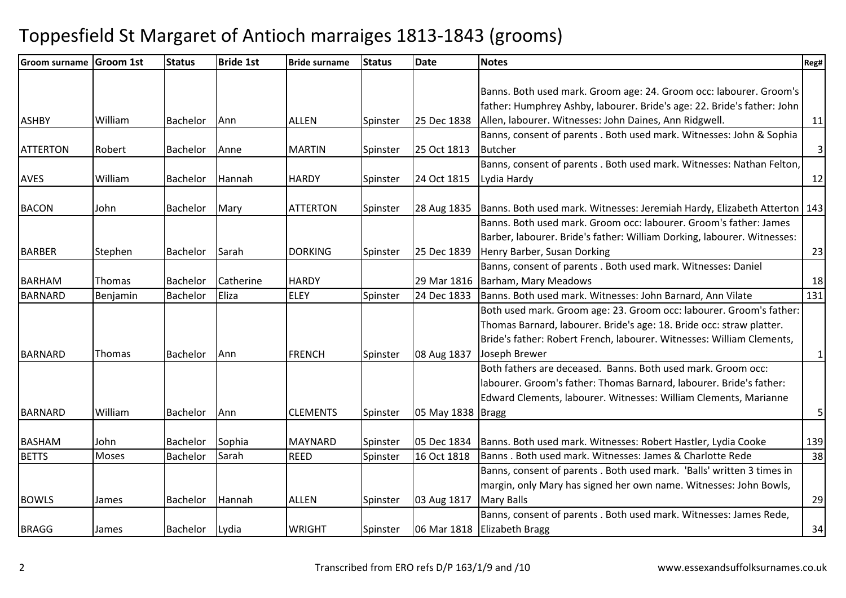| <b>Groom surname</b> | <b>Groom 1st</b> | <b>Status</b>   | <b>Bride 1st</b> | <b>Bride surname</b> | <b>Status</b> | <b>Date</b>         | <b>Notes</b>                                                               | Reg#           |
|----------------------|------------------|-----------------|------------------|----------------------|---------------|---------------------|----------------------------------------------------------------------------|----------------|
|                      |                  |                 |                  |                      |               |                     |                                                                            |                |
|                      |                  |                 |                  |                      |               |                     | Banns. Both used mark. Groom age: 24. Groom occ: labourer. Groom's         |                |
|                      |                  |                 |                  |                      |               |                     | father: Humphrey Ashby, labourer. Bride's age: 22. Bride's father: John    |                |
| <b>ASHBY</b>         | William          | <b>Bachelor</b> | Ann              | <b>ALLEN</b>         | Spinster      | 25 Dec 1838         | Allen, labourer. Witnesses: John Daines, Ann Ridgwell.                     | 11             |
|                      |                  |                 |                  |                      |               |                     | Banns, consent of parents . Both used mark. Witnesses: John & Sophia       |                |
| <b>ATTERTON</b>      | Robert           | Bachelor        | Anne             | <b>MARTIN</b>        | Spinster      | 25 Oct 1813         | <b>Butcher</b>                                                             | $\overline{3}$ |
|                      |                  |                 |                  |                      |               |                     | Banns, consent of parents . Both used mark. Witnesses: Nathan Felton,      |                |
| <b>AVES</b>          | William          | <b>Bachelor</b> | Hannah           | <b>HARDY</b>         | Spinster      | 24 Oct 1815         | Lydia Hardy                                                                | 12             |
|                      |                  |                 |                  |                      |               |                     |                                                                            |                |
| <b>BACON</b>         | John             | Bachelor        | Mary             | <b>ATTERTON</b>      | Spinster      | 28 Aug 1835         | Banns. Both used mark. Witnesses: Jeremiah Hardy, Elizabeth Atterton   143 |                |
|                      |                  |                 |                  |                      |               |                     | Banns. Both used mark. Groom occ: labourer. Groom's father: James          |                |
|                      |                  |                 |                  |                      |               |                     | Barber, labourer. Bride's father: William Dorking, labourer. Witnesses:    |                |
| <b>BARBER</b>        | Stephen          | Bachelor        | Sarah            | <b>DORKING</b>       | Spinster      | 25 Dec 1839         | Henry Barber, Susan Dorking                                                | 23             |
|                      |                  |                 |                  |                      |               |                     | Banns, consent of parents . Both used mark. Witnesses: Daniel              |                |
| <b>BARHAM</b>        | Thomas           | Bachelor        | Catherine        | <b>HARDY</b>         |               | 29 Mar 1816         | Barham, Mary Meadows                                                       | 18             |
| <b>BARNARD</b>       | Benjamin         | <b>Bachelor</b> | Eliza            | <b>ELEY</b>          | Spinster      | 24 Dec 1833         | Banns. Both used mark. Witnesses: John Barnard, Ann Vilate                 | 131            |
|                      |                  |                 |                  |                      |               |                     | Both used mark. Groom age: 23. Groom occ: labourer. Groom's father:        |                |
|                      |                  |                 |                  |                      |               |                     | Thomas Barnard, labourer. Bride's age: 18. Bride occ: straw platter.       |                |
|                      |                  |                 |                  |                      |               |                     | Bride's father: Robert French, labourer. Witnesses: William Clements,      |                |
| <b>BARNARD</b>       | Thomas           | Bachelor        | Ann              | <b>FRENCH</b>        | Spinster      | 08 Aug 1837         | Joseph Brewer                                                              | $1\vert$       |
|                      |                  |                 |                  |                      |               |                     | Both fathers are deceased. Banns. Both used mark. Groom occ:               |                |
|                      |                  |                 |                  |                      |               |                     | labourer. Groom's father: Thomas Barnard, labourer. Bride's father:        |                |
|                      |                  |                 |                  |                      |               |                     | Edward Clements, labourer. Witnesses: William Clements, Marianne           |                |
| <b>BARNARD</b>       | William          | Bachelor        | Ann              | <b>CLEMENTS</b>      | Spinster      | 05 May 1838   Bragg |                                                                            | 5 <sup>1</sup> |
|                      |                  |                 |                  |                      |               |                     |                                                                            |                |
| <b>BASHAM</b>        | John             | Bachelor        | Sophia           | MAYNARD              | Spinster      | 05 Dec 1834         | Banns. Both used mark. Witnesses: Robert Hastler, Lydia Cooke              | 139            |
| <b>BETTS</b>         | Moses            | Bachelor        | Sarah            | <b>REED</b>          | Spinster      | 16 Oct 1818         | Banns. Both used mark. Witnesses: James & Charlotte Rede                   | 38             |
|                      |                  |                 |                  |                      |               |                     | Banns, consent of parents . Both used mark. 'Balls' written 3 times in     |                |
|                      |                  |                 |                  |                      |               |                     | margin, only Mary has signed her own name. Witnesses: John Bowls,          |                |
| <b>BOWLS</b>         | James            | Bachelor        | Hannah           | <b>ALLEN</b>         | Spinster      | 03 Aug 1817         | <b>Mary Balls</b>                                                          | 29             |
|                      |                  |                 |                  |                      |               |                     | Banns, consent of parents . Both used mark. Witnesses: James Rede,         |                |
| <b>BRAGG</b>         | James            | Bachelor        | Lydia            | <b>WRIGHT</b>        | Spinster      | 06 Mar 1818         | <b>Elizabeth Bragg</b>                                                     | 34             |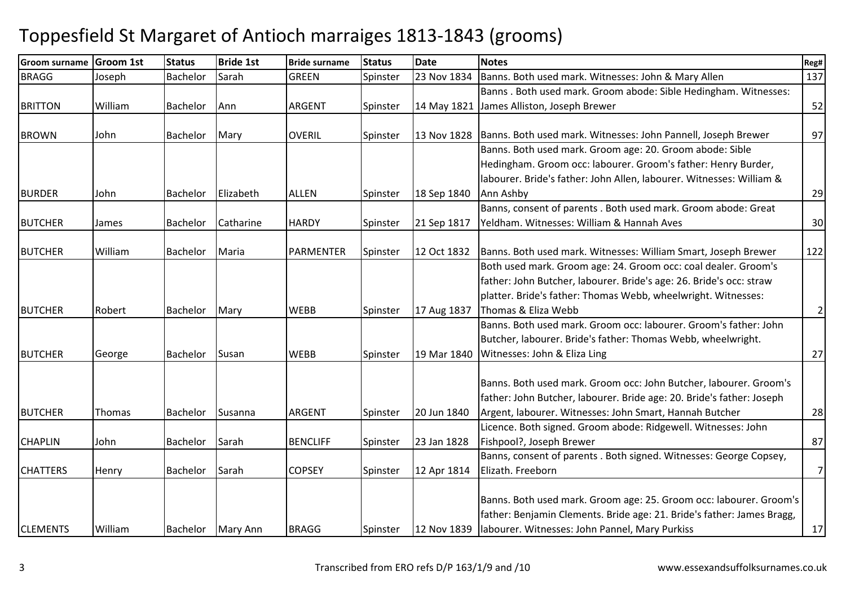| <b>Groom surname</b> | <b>Groom 1st</b> | <b>Status</b>   | <b>Bride 1st</b> | <b>Bride surname</b> | <b>Status</b> | <b>Date</b> | <b>Notes</b>                                                           | Reg#           |
|----------------------|------------------|-----------------|------------------|----------------------|---------------|-------------|------------------------------------------------------------------------|----------------|
| <b>BRAGG</b>         | Joseph           | Bachelor        | Sarah            | <b>GREEN</b>         | Spinster      | 23 Nov 1834 | Banns. Both used mark. Witnesses: John & Mary Allen                    | 137            |
|                      |                  |                 |                  |                      |               |             | Banns. Both used mark. Groom abode: Sible Hedingham. Witnesses:        |                |
| <b>BRITTON</b>       | William          | Bachelor        | Ann              | ARGENT               | Spinster      | 14 May 1821 | James Alliston, Joseph Brewer                                          | 52             |
|                      |                  |                 |                  |                      |               |             |                                                                        |                |
| <b>BROWN</b>         | John             | Bachelor        | Mary             | <b>OVERIL</b>        | Spinster      | 13 Nov 1828 | Banns. Both used mark. Witnesses: John Pannell, Joseph Brewer          | 97             |
|                      |                  |                 |                  |                      |               |             | Banns. Both used mark. Groom age: 20. Groom abode: Sible               |                |
|                      |                  |                 |                  |                      |               |             | Hedingham. Groom occ: labourer. Groom's father: Henry Burder,          |                |
|                      |                  |                 |                  |                      |               |             | labourer. Bride's father: John Allen, labourer. Witnesses: William &   |                |
| <b>BURDER</b>        | John             | Bachelor        | Elizabeth        | <b>ALLEN</b>         | Spinster      | 18 Sep 1840 | Ann Ashby                                                              | 29             |
|                      |                  |                 |                  |                      |               |             | Banns, consent of parents . Both used mark. Groom abode: Great         |                |
| <b>BUTCHER</b>       | James            | Bachelor        | Catharine        | <b>HARDY</b>         | Spinster      | 21 Sep 1817 | Yeldham. Witnesses: William & Hannah Aves                              | 30             |
|                      |                  |                 |                  |                      |               |             |                                                                        |                |
| <b>BUTCHER</b>       | William          | Bachelor        | Maria            | PARMENTER            | Spinster      | 12 Oct 1832 | Banns. Both used mark. Witnesses: William Smart, Joseph Brewer         | 122            |
|                      |                  |                 |                  |                      |               |             | Both used mark. Groom age: 24. Groom occ: coal dealer. Groom's         |                |
|                      |                  |                 |                  |                      |               |             | father: John Butcher, labourer. Bride's age: 26. Bride's occ: straw    |                |
|                      |                  |                 |                  |                      |               |             | platter. Bride's father: Thomas Webb, wheelwright. Witnesses:          |                |
| <b>BUTCHER</b>       | Robert           | Bachelor        | Mary             | <b>WEBB</b>          | Spinster      | 17 Aug 1837 | Thomas & Eliza Webb                                                    | $\overline{2}$ |
|                      |                  |                 |                  |                      |               |             | Banns. Both used mark. Groom occ: labourer. Groom's father: John       |                |
|                      |                  |                 |                  |                      |               |             | Butcher, labourer. Bride's father: Thomas Webb, wheelwright.           |                |
| <b>BUTCHER</b>       | George           | Bachelor        | Susan            | <b>WEBB</b>          | Spinster      | 19 Mar 1840 | Witnesses: John & Eliza Ling                                           | 27             |
|                      |                  |                 |                  |                      |               |             |                                                                        |                |
|                      |                  |                 |                  |                      |               |             | Banns. Both used mark. Groom occ: John Butcher, labourer. Groom's      |                |
|                      |                  |                 |                  |                      |               |             | father: John Butcher, labourer. Bride age: 20. Bride's father: Joseph  |                |
| <b>BUTCHER</b>       | Thomas           | Bachelor        | Susanna          | <b>ARGENT</b>        | Spinster      | 20 Jun 1840 | Argent, labourer. Witnesses: John Smart, Hannah Butcher                | 28             |
|                      |                  |                 |                  |                      |               |             | Licence. Both signed. Groom abode: Ridgewell. Witnesses: John          |                |
| <b>CHAPLIN</b>       | John             | <b>Bachelor</b> | Sarah            | <b>BENCLIFF</b>      | Spinster      | 23 Jan 1828 | Fishpool?, Joseph Brewer                                               | 87             |
|                      |                  |                 |                  |                      |               |             | Banns, consent of parents . Both signed. Witnesses: George Copsey,     |                |
| <b>CHATTERS</b>      | Henry            | <b>Bachelor</b> | Sarah            | <b>COPSEY</b>        | Spinster      | 12 Apr 1814 | Elizath. Freeborn                                                      | $\overline{7}$ |
|                      |                  |                 |                  |                      |               |             |                                                                        |                |
|                      |                  |                 |                  |                      |               |             | Banns. Both used mark. Groom age: 25. Groom occ: labourer. Groom's     |                |
|                      |                  |                 |                  |                      |               |             | father: Benjamin Clements. Bride age: 21. Bride's father: James Bragg, |                |
| <b>CLEMENTS</b>      | William          | Bachelor        | Mary Ann         | <b>BRAGG</b>         | Spinster      | 12 Nov 1839 | labourer. Witnesses: John Pannel, Mary Purkiss                         | 17             |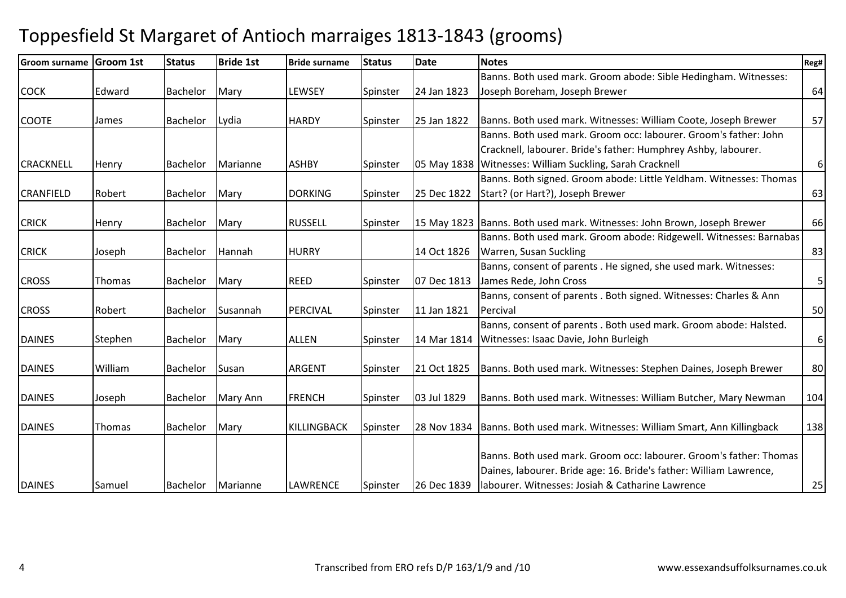| <b>Groom surname</b> | <b>Groom 1st</b> | <b>Status</b>   | <b>Bride 1st</b> | <b>Bride surname</b> | <b>Status</b> | <b>Date</b> | <b>Notes</b>                                                       | Reg# |
|----------------------|------------------|-----------------|------------------|----------------------|---------------|-------------|--------------------------------------------------------------------|------|
|                      |                  |                 |                  |                      |               |             | Banns. Both used mark. Groom abode: Sible Hedingham. Witnesses:    |      |
| <b>COCK</b>          | Edward           | <b>Bachelor</b> | Mary             | <b>LEWSEY</b>        | Spinster      | 24 Jan 1823 | Joseph Boreham, Joseph Brewer                                      | 64   |
|                      |                  |                 |                  |                      |               |             |                                                                    |      |
| <b>COOTE</b>         | James            | <b>Bachelor</b> | Lydia            | <b>HARDY</b>         | Spinster      | 25 Jan 1822 | Banns. Both used mark. Witnesses: William Coote, Joseph Brewer     | 57   |
|                      |                  |                 |                  |                      |               |             | Banns. Both used mark. Groom occ: labourer. Groom's father: John   |      |
|                      |                  |                 |                  |                      |               |             | Cracknell, labourer. Bride's father: Humphrey Ashby, labourer.     |      |
| <b>CRACKNELL</b>     | Henry            | <b>Bachelor</b> | Marianne         | <b>ASHBY</b>         | Spinster      | 05 May 1838 | Witnesses: William Suckling, Sarah Cracknell                       | 6    |
|                      |                  |                 |                  |                      |               |             | Banns. Both signed. Groom abode: Little Yeldham. Witnesses: Thomas |      |
| <b>CRANFIELD</b>     | Robert           | <b>Bachelor</b> | Mary             | <b>DORKING</b>       | Spinster      | 25 Dec 1822 | Start? (or Hart?), Joseph Brewer                                   | 63   |
|                      |                  |                 |                  |                      |               |             |                                                                    |      |
| <b>CRICK</b>         | Henry            | <b>Bachelor</b> | Mary             | <b>RUSSELL</b>       | Spinster      | 15 May 1823 | Banns. Both used mark. Witnesses: John Brown, Joseph Brewer        | 66   |
|                      |                  |                 |                  |                      |               |             | Banns. Both used mark. Groom abode: Ridgewell. Witnesses: Barnabas |      |
| <b>CRICK</b>         | Joseph           | <b>Bachelor</b> | Hannah           | <b>HURRY</b>         |               | 14 Oct 1826 | Warren, Susan Suckling                                             | 83   |
|                      |                  |                 |                  |                      |               |             | Banns, consent of parents . He signed, she used mark. Witnesses:   |      |
| <b>CROSS</b>         | Thomas           | <b>Bachelor</b> | Mary             | <b>REED</b>          | Spinster      | 07 Dec 1813 | James Rede, John Cross                                             | 5    |
|                      |                  |                 |                  |                      |               |             | Banns, consent of parents . Both signed. Witnesses: Charles & Ann  |      |
| <b>CROSS</b>         | Robert           | <b>Bachelor</b> | Susannah         | PERCIVAL             | Spinster      | 11 Jan 1821 | Percival                                                           | 50   |
|                      |                  |                 |                  |                      |               |             | Banns, consent of parents . Both used mark. Groom abode: Halsted.  |      |
| <b>DAINES</b>        | Stephen          | Bachelor        | Mary             | <b>ALLEN</b>         | Spinster      | 14 Mar 1814 | Witnesses: Isaac Davie, John Burleigh                              | 6    |
|                      |                  |                 |                  |                      |               |             |                                                                    |      |
| <b>DAINES</b>        | William          | <b>Bachelor</b> | Susan            | <b>ARGENT</b>        | Spinster      | 21 Oct 1825 | Banns. Both used mark. Witnesses: Stephen Daines, Joseph Brewer    | 80   |
| <b>DAINES</b>        | Joseph           | <b>Bachelor</b> | Mary Ann         | FRENCH               | Spinster      | 03 Jul 1829 | Banns. Both used mark. Witnesses: William Butcher, Mary Newman     | 104  |
|                      |                  |                 |                  |                      |               |             |                                                                    |      |
| <b>DAINES</b>        | Thomas           | <b>Bachelor</b> | Mary             | <b>KILLINGBACK</b>   | Spinster      | 28 Nov 1834 | Banns. Both used mark. Witnesses: William Smart, Ann Killingback   | 138  |
|                      |                  |                 |                  |                      |               |             |                                                                    |      |
|                      |                  |                 |                  |                      |               |             | Banns. Both used mark. Groom occ: labourer. Groom's father: Thomas |      |
|                      |                  |                 |                  |                      |               |             | Daines, labourer. Bride age: 16. Bride's father: William Lawrence, |      |
| <b>DAINES</b>        | Samuel           | Bachelor        | Marianne         | <b>LAWRENCE</b>      | Spinster      | 26 Dec 1839 | Iabourer. Witnesses: Josiah & Catharine Lawrence                   | 25   |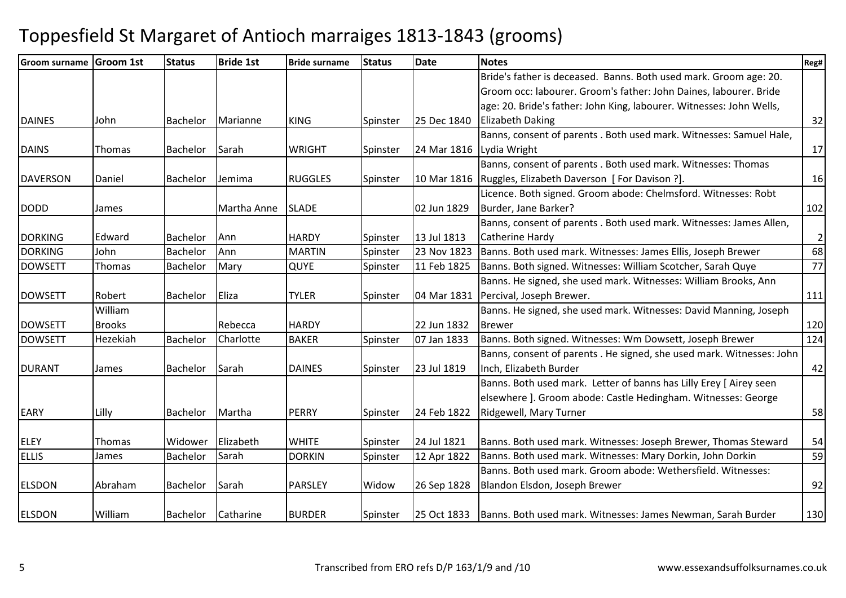| <b>Groom surname</b> | <b>Groom 1st</b> | <b>Status</b>   | <b>Bride 1st</b> | <b>Bride surname</b> | <b>Status</b> | Date        | <b>Notes</b>                                                          | Reg#           |
|----------------------|------------------|-----------------|------------------|----------------------|---------------|-------------|-----------------------------------------------------------------------|----------------|
|                      |                  |                 |                  |                      |               |             | Bride's father is deceased. Banns. Both used mark. Groom age: 20.     |                |
|                      |                  |                 |                  |                      |               |             | Groom occ: labourer. Groom's father: John Daines, labourer. Bride     |                |
|                      |                  |                 |                  |                      |               |             | age: 20. Bride's father: John King, labourer. Witnesses: John Wells,  |                |
| <b>DAINES</b>        | John             | <b>Bachelor</b> | Marianne         | <b>KING</b>          | Spinster      | 25 Dec 1840 | <b>Elizabeth Daking</b>                                               | 32             |
|                      |                  |                 |                  |                      |               |             | Banns, consent of parents . Both used mark. Witnesses: Samuel Hale,   |                |
| <b>DAINS</b>         | Thomas           | <b>Bachelor</b> | Sarah            | <b>WRIGHT</b>        | Spinster      | 24 Mar 1816 | Lydia Wright                                                          | 17             |
|                      |                  |                 |                  |                      |               |             | Banns, consent of parents . Both used mark. Witnesses: Thomas         |                |
| <b>DAVERSON</b>      | Daniel           | Bachelor        | Jemima           | <b>RUGGLES</b>       | Spinster      | 10 Mar 1816 | Ruggles, Elizabeth Daverson [ For Davison ?].                         | 16             |
|                      |                  |                 |                  |                      |               |             | Licence. Both signed. Groom abode: Chelmsford. Witnesses: Robt        |                |
| <b>DODD</b>          | James            |                 | Martha Anne      | <b>SLADE</b>         |               | 02 Jun 1829 | Burder, Jane Barker?                                                  | 102            |
|                      |                  |                 |                  |                      |               |             | Banns, consent of parents . Both used mark. Witnesses: James Allen,   |                |
| <b>DORKING</b>       | Edward           | Bachelor        | Ann              | <b>HARDY</b>         | Spinster      | 13 Jul 1813 | Catherine Hardy                                                       | $\overline{2}$ |
| <b>DORKING</b>       | John             | Bachelor        | Ann              | <b>MARTIN</b>        | Spinster      | 23 Nov 1823 | Banns. Both used mark. Witnesses: James Ellis, Joseph Brewer          | 68             |
| <b>DOWSETT</b>       | Thomas           | Bachelor        | Mary             | <b>QUYE</b>          | Spinster      | 11 Feb 1825 | Banns. Both signed. Witnesses: William Scotcher, Sarah Quye           | 77             |
|                      |                  |                 |                  |                      |               |             | Banns. He signed, she used mark. Witnesses: William Brooks, Ann       |                |
| <b>DOWSETT</b>       | Robert           | Bachelor        | Eliza            | <b>TYLER</b>         | Spinster      | 04 Mar 1831 | Percival, Joseph Brewer.                                              | 111            |
|                      | William          |                 |                  |                      |               |             | Banns. He signed, she used mark. Witnesses: David Manning, Joseph     |                |
| <b>DOWSETT</b>       | <b>Brooks</b>    |                 | Rebecca          | <b>HARDY</b>         |               | 22 Jun 1832 | <b>Brewer</b>                                                         | 120            |
| <b>DOWSETT</b>       | Hezekiah         | Bachelor        | Charlotte        | <b>BAKER</b>         | Spinster      | 07 Jan 1833 | Banns. Both signed. Witnesses: Wm Dowsett, Joseph Brewer              | 124            |
|                      |                  |                 |                  |                      |               |             | Banns, consent of parents . He signed, she used mark. Witnesses: John |                |
| <b>DURANT</b>        | James            | Bachelor        | <b>Sarah</b>     | <b>DAINES</b>        | Spinster      | 23 Jul 1819 | Inch, Elizabeth Burder                                                | 42             |
|                      |                  |                 |                  |                      |               |             | Banns. Both used mark. Letter of banns has Lilly Erey [ Airey seen    |                |
|                      |                  |                 |                  |                      |               |             | elsewhere ]. Groom abode: Castle Hedingham. Witnesses: George         |                |
| <b>EARY</b>          | Lilly            | <b>Bachelor</b> | Martha           | <b>PERRY</b>         | Spinster      | 24 Feb 1822 | Ridgewell, Mary Turner                                                | 58             |
|                      |                  |                 |                  |                      |               |             |                                                                       |                |
| <b>ELEY</b>          | Thomas           | Widower         | Elizabeth        | <b>WHITE</b>         | Spinster      | 24 Jul 1821 | Banns. Both used mark. Witnesses: Joseph Brewer, Thomas Steward       | 54             |
| <b>ELLIS</b>         | James            | Bachelor        | Sarah            | <b>DORKIN</b>        | Spinster      | 12 Apr 1822 | Banns. Both used mark. Witnesses: Mary Dorkin, John Dorkin            | 59             |
|                      |                  |                 |                  |                      |               |             | Banns. Both used mark. Groom abode: Wethersfield. Witnesses:          |                |
| <b>ELSDON</b>        | Abraham          | Bachelor        | Sarah            | <b>PARSLEY</b>       | Widow         | 26 Sep 1828 | Blandon Elsdon, Joseph Brewer                                         | 92             |
| <b>ELSDON</b>        | William          | Bachelor        | Catharine        | <b>BURDER</b>        | Spinster      | 25 Oct 1833 | Banns. Both used mark. Witnesses: James Newman, Sarah Burder          | 130            |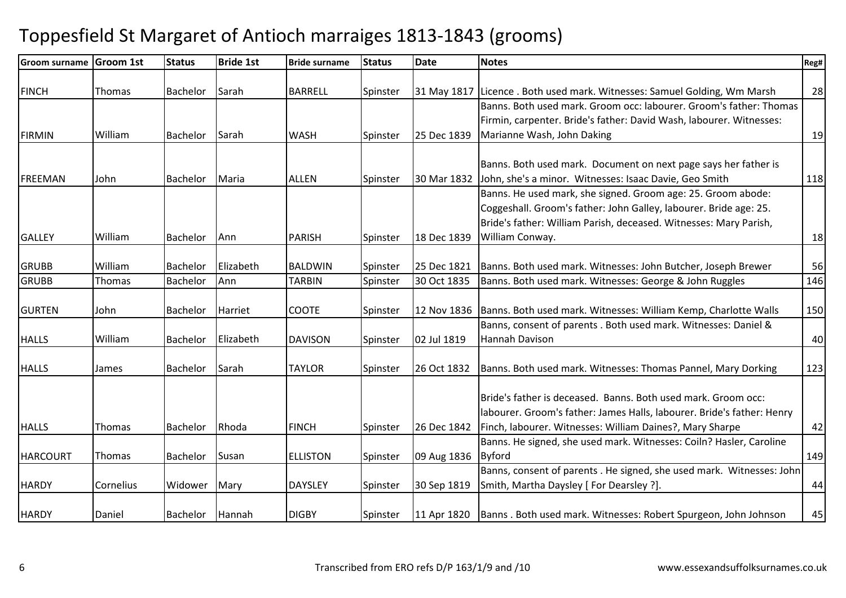| <b>Groom surname</b> | <b>Groom 1st</b> | <b>Status</b>   | <b>Bride 1st</b> | <b>Bride surname</b> | <b>Status</b> | <b>Date</b> | <b>Notes</b>                                                                   | Reg# |
|----------------------|------------------|-----------------|------------------|----------------------|---------------|-------------|--------------------------------------------------------------------------------|------|
|                      |                  |                 |                  |                      |               |             |                                                                                |      |
| <b>FINCH</b>         | Thomas           | <b>Bachelor</b> | Sarah            | <b>BARRELL</b>       | Spinster      | 31 May 1817 | Licence . Both used mark. Witnesses: Samuel Golding, Wm Marsh                  | 28   |
|                      |                  |                 |                  |                      |               |             | Banns. Both used mark. Groom occ: labourer. Groom's father: Thomas             |      |
|                      |                  |                 |                  |                      |               |             | Firmin, carpenter. Bride's father: David Wash, labourer. Witnesses:            |      |
| <b>FIRMIN</b>        | William          | Bachelor        | Sarah            | <b>WASH</b>          | Spinster      | 25 Dec 1839 | Marianne Wash, John Daking                                                     | 19   |
|                      |                  |                 |                  |                      |               |             |                                                                                |      |
|                      |                  |                 |                  |                      |               |             | Banns. Both used mark. Document on next page says her father is                |      |
| <b>FREEMAN</b>       | John             | Bachelor        | Maria            | <b>ALLEN</b>         | Spinster      | 30 Mar 1832 | John, she's a minor. Witnesses: Isaac Davie, Geo Smith                         | 118  |
|                      |                  |                 |                  |                      |               |             | Banns. He used mark, she signed. Groom age: 25. Groom abode:                   |      |
|                      |                  |                 |                  |                      |               |             | Coggeshall. Groom's father: John Galley, labourer. Bride age: 25.              |      |
|                      |                  |                 |                  |                      |               |             | Bride's father: William Parish, deceased. Witnesses: Mary Parish,              |      |
| <b>GALLEY</b>        | William          | Bachelor        | Ann              | <b>PARISH</b>        | Spinster      | 18 Dec 1839 | William Conway.                                                                | 18   |
|                      |                  |                 |                  |                      |               |             |                                                                                |      |
| <b>GRUBB</b>         | William          | <b>Bachelor</b> | Elizabeth        | <b>BALDWIN</b>       | Spinster      | 25 Dec 1821 | Banns. Both used mark. Witnesses: John Butcher, Joseph Brewer                  | 56   |
| <b>GRUBB</b>         | Thomas           | Bachelor        | Ann              | <b>TARBIN</b>        | Spinster      | 30 Oct 1835 | Banns. Both used mark. Witnesses: George & John Ruggles                        | 146  |
| <b>GURTEN</b>        | John             | <b>Bachelor</b> | Harriet          | <b>COOTE</b>         | Spinster      | 12 Nov 1836 | Banns. Both used mark. Witnesses: William Kemp, Charlotte Walls                | 150  |
|                      |                  |                 |                  |                      |               |             | Banns, consent of parents . Both used mark. Witnesses: Daniel &                |      |
| <b>HALLS</b>         | William          | <b>Bachelor</b> | Elizabeth        | <b>DAVISON</b>       | Spinster      | 02 Jul 1819 | Hannah Davison                                                                 | 40   |
|                      |                  |                 |                  |                      |               |             |                                                                                |      |
| <b>HALLS</b>         | James            | Bachelor        | Sarah            | <b>TAYLOR</b>        | Spinster      | 26 Oct 1832 | Banns. Both used mark. Witnesses: Thomas Pannel, Mary Dorking                  | 123  |
|                      |                  |                 |                  |                      |               |             |                                                                                |      |
|                      |                  |                 |                  |                      |               |             | Bride's father is deceased. Banns. Both used mark. Groom occ:                  |      |
|                      |                  |                 |                  |                      |               |             | labourer. Groom's father: James Halls, labourer. Bride's father: Henry         |      |
| <b>HALLS</b>         | Thomas           | Bachelor        | Rhoda            | <b>FINCH</b>         | Spinster      | 26 Dec 1842 | Finch, labourer. Witnesses: William Daines?, Mary Sharpe                       | 42   |
|                      |                  |                 |                  |                      |               |             | Banns. He signed, she used mark. Witnesses: Coiln? Hasler, Caroline            |      |
| <b>HARCOURT</b>      | Thomas           | <b>Bachelor</b> | Susan            | <b>ELLISTON</b>      | Spinster      | 09 Aug 1836 | <b>Byford</b>                                                                  | 149  |
|                      |                  |                 |                  |                      |               |             | Banns, consent of parents . He signed, she used mark. Witnesses: John          |      |
| <b>HARDY</b>         | Cornelius        | Widower         | Mary             | <b>DAYSLEY</b>       | Spinster      | 30 Sep 1819 | Smith, Martha Daysley [ For Dearsley ?].                                       | 44   |
|                      |                  |                 |                  |                      |               |             |                                                                                |      |
| <b>HARDY</b>         | Daniel           | Bachelor        | Hannah           | <b>DIGBY</b>         | Spinster      |             | 11 Apr 1820   Banns . Both used mark. Witnesses: Robert Spurgeon, John Johnson | 45   |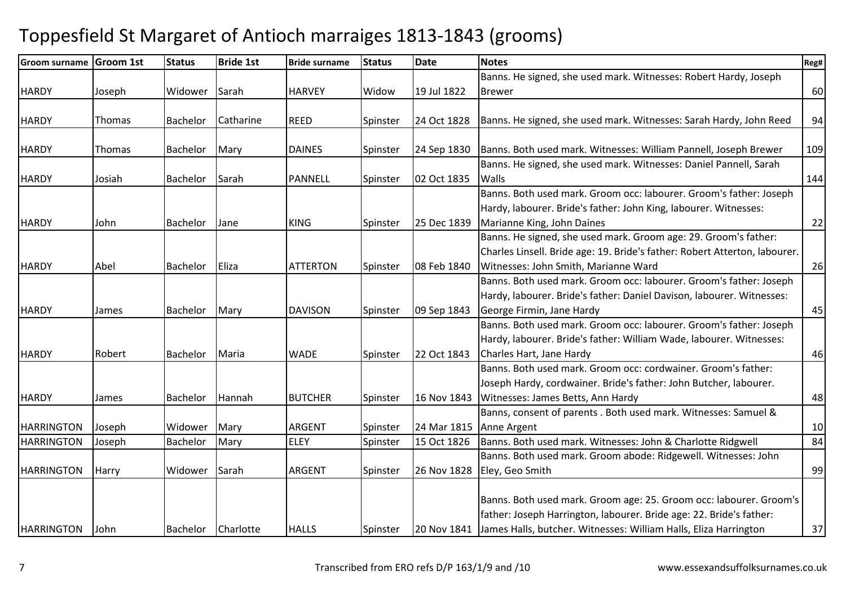| <b>Groom surname</b> | Groom 1st | <b>Status</b>   | <b>Bride 1st</b> | <b>Bride surname</b> | <b>Status</b> | <b>Date</b> | <b>Notes</b>                                                                 | Reg# |
|----------------------|-----------|-----------------|------------------|----------------------|---------------|-------------|------------------------------------------------------------------------------|------|
|                      |           |                 |                  |                      |               |             | Banns. He signed, she used mark. Witnesses: Robert Hardy, Joseph             |      |
| <b>HARDY</b>         | Joseph    | Widower         | Sarah            | <b>HARVEY</b>        | Widow         | 19 Jul 1822 | <b>Brewer</b>                                                                | 60   |
|                      |           |                 |                  |                      |               |             |                                                                              |      |
| <b>HARDY</b>         | Thomas    | Bachelor        | Catharine        | <b>REED</b>          | Spinster      | 24 Oct 1828 | Banns. He signed, she used mark. Witnesses: Sarah Hardy, John Reed           | 94   |
|                      |           |                 |                  |                      |               |             |                                                                              |      |
| <b>HARDY</b>         | Thomas    | <b>Bachelor</b> | Mary             | <b>DAINES</b>        | Spinster      | 24 Sep 1830 | Banns. Both used mark. Witnesses: William Pannell, Joseph Brewer             | 109  |
|                      |           |                 |                  |                      |               |             | Banns. He signed, she used mark. Witnesses: Daniel Pannell, Sarah            |      |
| <b>HARDY</b>         | Josiah    | <b>Bachelor</b> | Sarah            | PANNELL              | Spinster      | 02 Oct 1835 | Walls                                                                        | 144  |
|                      |           |                 |                  |                      |               |             | Banns. Both used mark. Groom occ: labourer. Groom's father: Joseph           |      |
|                      |           |                 |                  |                      |               |             | Hardy, labourer. Bride's father: John King, labourer. Witnesses:             |      |
| <b>HARDY</b>         | John      | Bachelor        | Jane             | <b>KING</b>          | Spinster      | 25 Dec 1839 | Marianne King, John Daines                                                   | 22   |
|                      |           |                 |                  |                      |               |             | Banns. He signed, she used mark. Groom age: 29. Groom's father:              |      |
|                      |           |                 |                  |                      |               |             | Charles Linsell. Bride age: 19. Bride's father: Robert Atterton, labourer.   |      |
| <b>HARDY</b>         | Abel      | Bachelor        | Eliza            | <b>ATTERTON</b>      | Spinster      | 08 Feb 1840 | Witnesses: John Smith, Marianne Ward                                         | 26   |
|                      |           |                 |                  |                      |               |             | Banns. Both used mark. Groom occ: labourer. Groom's father: Joseph           |      |
|                      |           |                 |                  |                      |               |             | Hardy, labourer. Bride's father: Daniel Davison, labourer. Witnesses:        |      |
| <b>HARDY</b>         | James     | Bachelor        | Mary             | <b>DAVISON</b>       | Spinster      | 09 Sep 1843 | George Firmin, Jane Hardy                                                    | 45   |
|                      |           |                 |                  |                      |               |             | Banns. Both used mark. Groom occ: labourer. Groom's father: Joseph           |      |
|                      |           |                 |                  |                      |               |             | Hardy, labourer. Bride's father: William Wade, labourer. Witnesses:          |      |
| <b>HARDY</b>         | Robert    | Bachelor        | Maria            | <b>WADE</b>          | Spinster      | 22 Oct 1843 | Charles Hart, Jane Hardy                                                     | 46   |
|                      |           |                 |                  |                      |               |             | Banns. Both used mark. Groom occ: cordwainer. Groom's father:                |      |
|                      |           |                 |                  |                      |               |             | Joseph Hardy, cordwainer. Bride's father: John Butcher, labourer.            |      |
| <b>HARDY</b>         | James     | Bachelor        | Hannah           | <b>BUTCHER</b>       | Spinster      | 16 Nov 1843 | Witnesses: James Betts, Ann Hardy                                            | 48   |
|                      |           |                 |                  |                      |               |             | Banns, consent of parents . Both used mark. Witnesses: Samuel &              |      |
| <b>HARRINGTON</b>    | Joseph    | Widower         | Mary             | <b>ARGENT</b>        | Spinster      | 24 Mar 1815 | Anne Argent                                                                  | 10   |
| <b>HARRINGTON</b>    | Joseph    | <b>Bachelor</b> | Mary             | <b>ELEY</b>          | Spinster      | 15 Oct 1826 | Banns. Both used mark. Witnesses: John & Charlotte Ridgwell                  | 84   |
|                      |           |                 |                  |                      |               |             | Banns. Both used mark. Groom abode: Ridgewell. Witnesses: John               |      |
| <b>HARRINGTON</b>    | Harry     | Widower         | Sarah            | <b>ARGENT</b>        | Spinster      | 26 Nov 1828 | Eley, Geo Smith                                                              | 99   |
|                      |           |                 |                  |                      |               |             |                                                                              |      |
|                      |           |                 |                  |                      |               |             | Banns. Both used mark. Groom age: 25. Groom occ: labourer. Groom's           |      |
|                      |           |                 |                  |                      |               |             | father: Joseph Harrington, labourer. Bride age: 22. Bride's father:          |      |
| <b>HARRINGTON</b>    | John      | Bachelor        | Charlotte        | <b>HALLS</b>         | Spinster      |             | 20 Nov 1841 James Halls, butcher. Witnesses: William Halls, Eliza Harrington | 37   |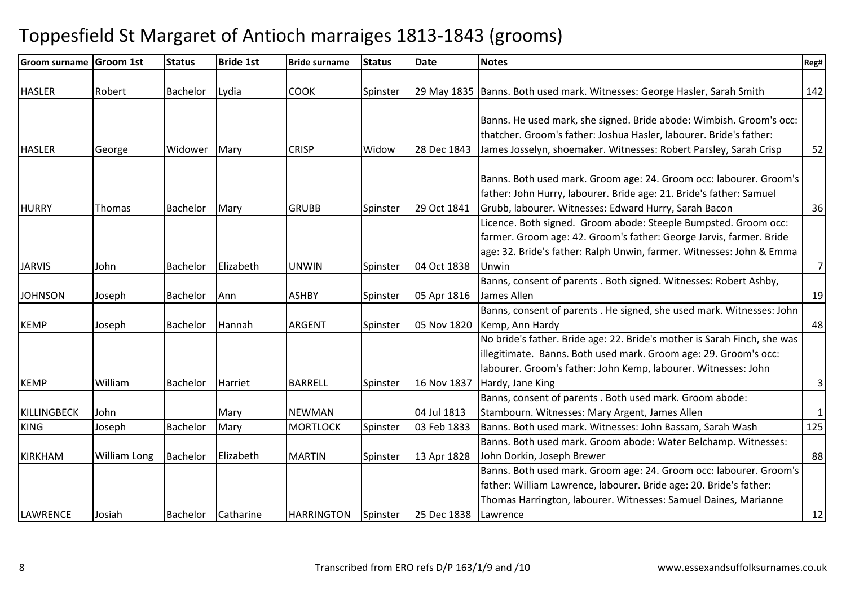| <b>Groom surname</b> | <b>Groom 1st</b>    | <b>Status</b>   | <b>Bride 1st</b> | <b>Bride surname</b> | <b>Status</b> | <b>Date</b> | <b>Notes</b>                                                                                                                                                                                                                       | Reg#           |
|----------------------|---------------------|-----------------|------------------|----------------------|---------------|-------------|------------------------------------------------------------------------------------------------------------------------------------------------------------------------------------------------------------------------------------|----------------|
| <b>HASLER</b>        | Robert              | Bachelor        | Lydia            | <b>COOK</b>          | Spinster      |             | 29 May 1835 Banns. Both used mark. Witnesses: George Hasler, Sarah Smith                                                                                                                                                           | 142            |
| <b>HASLER</b>        | George              | Widower         | Mary             | <b>CRISP</b>         | Widow         | 28 Dec 1843 | Banns. He used mark, she signed. Bride abode: Wimbish. Groom's occ:<br>thatcher. Groom's father: Joshua Hasler, labourer. Bride's father:<br>James Josselyn, shoemaker. Witnesses: Robert Parsley, Sarah Crisp                     | 52             |
| <b>HURRY</b>         | <b>Thomas</b>       | <b>Bachelor</b> | Mary             | <b>GRUBB</b>         | Spinster      | 29 Oct 1841 | Banns. Both used mark. Groom age: 24. Groom occ: labourer. Groom's<br>father: John Hurry, labourer. Bride age: 21. Bride's father: Samuel<br>Grubb, labourer. Witnesses: Edward Hurry, Sarah Bacon                                 | 36             |
| <b>JARVIS</b>        | John                | <b>Bachelor</b> | Elizabeth        | <b>UNWIN</b>         | Spinster      | 04 Oct 1838 | Licence. Both signed. Groom abode: Steeple Bumpsted. Groom occ:<br>farmer. Groom age: 42. Groom's father: George Jarvis, farmer. Bride<br>age: 32. Bride's father: Ralph Unwin, farmer. Witnesses: John & Emma<br>Unwin            | $\overline{7}$ |
| <b>JOHNSON</b>       | Joseph              | Bachelor        | Ann              | <b>ASHBY</b>         | Spinster      | 05 Apr 1816 | Banns, consent of parents . Both signed. Witnesses: Robert Ashby,<br>James Allen                                                                                                                                                   | 19             |
| <b>KEMP</b>          | Joseph              | <b>Bachelor</b> | Hannah           | <b>ARGENT</b>        | Spinster      | 05 Nov 1820 | Banns, consent of parents . He signed, she used mark. Witnesses: John<br>Kemp, Ann Hardy                                                                                                                                           | 48             |
| <b>KEMP</b>          | William             | <b>Bachelor</b> | Harriet          | <b>BARRELL</b>       | Spinster      | 16 Nov 1837 | No bride's father. Bride age: 22. Bride's mother is Sarah Finch, she was<br>illegitimate. Banns. Both used mark. Groom age: 29. Groom's occ:<br>labourer. Groom's father: John Kemp, labourer. Witnesses: John<br>Hardy, Jane King | $\mathbf{3}$   |
| <b>KILLINGBECK</b>   | John                |                 | Mary             | <b>NEWMAN</b>        |               | 04 Jul 1813 | Banns, consent of parents . Both used mark. Groom abode:<br>Stambourn. Witnesses: Mary Argent, James Allen                                                                                                                         | $\mathbf{1}$   |
| <b>KING</b>          | Joseph              | <b>Bachelor</b> | Mary             | <b>MORTLOCK</b>      | Spinster      | 03 Feb 1833 | Banns. Both used mark. Witnesses: John Bassam, Sarah Wash                                                                                                                                                                          | 125            |
| <b>KIRKHAM</b>       | <b>William Long</b> | Bachelor        | Elizabeth        | <b>MARTIN</b>        | Spinster      | 13 Apr 1828 | Banns. Both used mark. Groom abode: Water Belchamp. Witnesses:<br>John Dorkin, Joseph Brewer                                                                                                                                       | 88             |
| LAWRENCE             | Josiah              | Bachelor        | Catharine        | <b>HARRINGTON</b>    | Spinster      | 25 Dec 1838 | Banns. Both used mark. Groom age: 24. Groom occ: labourer. Groom's<br>father: William Lawrence, labourer. Bride age: 20. Bride's father:<br>Thomas Harrington, labourer. Witnesses: Samuel Daines, Marianne<br>Lawrence            | 12             |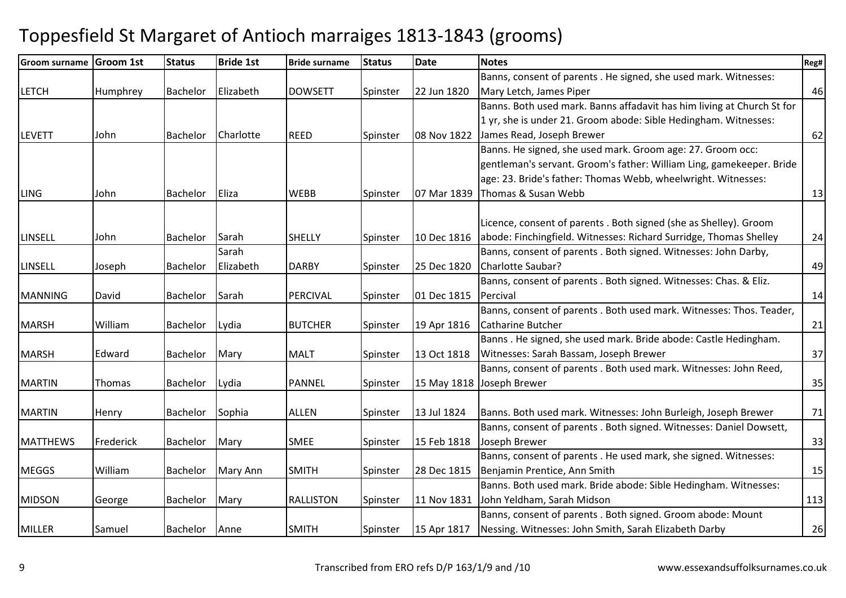| <b>Groom surname</b> | Groom 1st | <b>Status</b>   | <b>Bride 1st</b> | <b>Bride surname</b> | <b>Status</b> | <b>Date</b> | <b>Notes</b>                                                           | Reg# |
|----------------------|-----------|-----------------|------------------|----------------------|---------------|-------------|------------------------------------------------------------------------|------|
|                      |           |                 |                  |                      |               |             | Banns, consent of parents . He signed, she used mark. Witnesses:       |      |
| <b>LETCH</b>         | Humphrey  | Bachelor        | Elizabeth        | <b>DOWSETT</b>       | Spinster      | 22 Jun 1820 | Mary Letch, James Piper                                                | 46   |
|                      |           |                 |                  |                      |               |             | Banns. Both used mark. Banns affadavit has him living at Church St for |      |
|                      |           |                 |                  |                      |               |             | 1 yr, she is under 21. Groom abode: Sible Hedingham. Witnesses:        |      |
| <b>LEVETT</b>        | John      | <b>Bachelor</b> | Charlotte        | <b>REED</b>          | Spinster      | 08 Nov 1822 | James Read, Joseph Brewer                                              | 62   |
|                      |           |                 |                  |                      |               |             | Banns. He signed, she used mark. Groom age: 27. Groom occ:             |      |
|                      |           |                 |                  |                      |               |             | gentleman's servant. Groom's father: William Ling, gamekeeper. Bride   |      |
|                      |           |                 |                  |                      |               |             | age: 23. Bride's father: Thomas Webb, wheelwright. Witnesses:          |      |
| <b>LING</b>          | John      | <b>Bachelor</b> | Eliza            | <b>WEBB</b>          | Spinster      | 07 Mar 1839 | Thomas & Susan Webb                                                    | 13   |
|                      |           |                 |                  |                      |               |             |                                                                        |      |
|                      |           |                 |                  |                      |               |             | Licence, consent of parents . Both signed (she as Shelley). Groom      |      |
| <b>LINSELL</b>       | John      | Bachelor        | Sarah            | <b>SHELLY</b>        | Spinster      | 10 Dec 1816 | abode: Finchingfield. Witnesses: Richard Surridge, Thomas Shelley      | 24   |
|                      |           |                 | Sarah            |                      |               |             | Banns, consent of parents . Both signed. Witnesses: John Darby,        |      |
| <b>LINSELL</b>       | Joseph    | <b>Bachelor</b> | Elizabeth        | <b>DARBY</b>         | Spinster      | 25 Dec 1820 | Charlotte Saubar?                                                      | 49   |
|                      |           |                 |                  |                      |               |             | Banns, consent of parents . Both signed. Witnesses: Chas. & Eliz.      |      |
| <b>MANNING</b>       | David     | Bachelor        | Sarah            | PERCIVAL             | Spinster      | 01 Dec 1815 | Percival                                                               | 14   |
|                      |           |                 |                  |                      |               |             | Banns, consent of parents . Both used mark. Witnesses: Thos. Teader,   |      |
| <b>MARSH</b>         | William   | <b>Bachelor</b> | Lydia            | <b>BUTCHER</b>       | Spinster      | 19 Apr 1816 | <b>Catharine Butcher</b>                                               | 21   |
|                      |           |                 |                  |                      |               |             | Banns. He signed, she used mark. Bride abode: Castle Hedingham.        |      |
| <b>MARSH</b>         | Edward    | Bachelor        | Mary             | <b>MALT</b>          | Spinster      | 13 Oct 1818 | Witnesses: Sarah Bassam, Joseph Brewer                                 | 37   |
|                      |           |                 |                  |                      |               |             | Banns, consent of parents . Both used mark. Witnesses: John Reed,      |      |
| <b>MARTIN</b>        | Thomas    | Bachelor        | Lydia            | PANNEL               | Spinster      | 15 May 1818 | Joseph Brewer                                                          | 35   |
|                      |           |                 |                  |                      |               |             |                                                                        |      |
| <b>MARTIN</b>        | Henry     | Bachelor        | Sophia           | <b>ALLEN</b>         | Spinster      | 13 Jul 1824 | Banns. Both used mark. Witnesses: John Burleigh, Joseph Brewer         | 71   |
|                      |           |                 |                  |                      |               |             | Banns, consent of parents . Both signed. Witnesses: Daniel Dowsett,    |      |
| <b>MATTHEWS</b>      | Frederick | Bachelor        | Mary             | <b>SMEE</b>          | Spinster      | 15 Feb 1818 | Joseph Brewer                                                          | 33   |
|                      |           |                 |                  |                      |               |             | Banns, consent of parents . He used mark, she signed. Witnesses:       |      |
| <b>MEGGS</b>         | William   | Bachelor        | Mary Ann         | <b>SMITH</b>         | Spinster      | 28 Dec 1815 | Benjamin Prentice, Ann Smith                                           | 15   |
|                      |           |                 |                  |                      |               |             | Banns. Both used mark. Bride abode: Sible Hedingham. Witnesses:        |      |
| <b>MIDSON</b>        | George    | <b>Bachelor</b> | Mary             | <b>RALLISTON</b>     | Spinster      | 11 Nov 1831 | John Yeldham, Sarah Midson                                             | 113  |
|                      |           |                 |                  |                      |               |             | Banns, consent of parents . Both signed. Groom abode: Mount            |      |
| <b>MILLER</b>        | Samuel    | Bachelor        | Anne             | <b>SMITH</b>         | Spinster      | 15 Apr 1817 | Nessing. Witnesses: John Smith, Sarah Elizabeth Darby                  | 26   |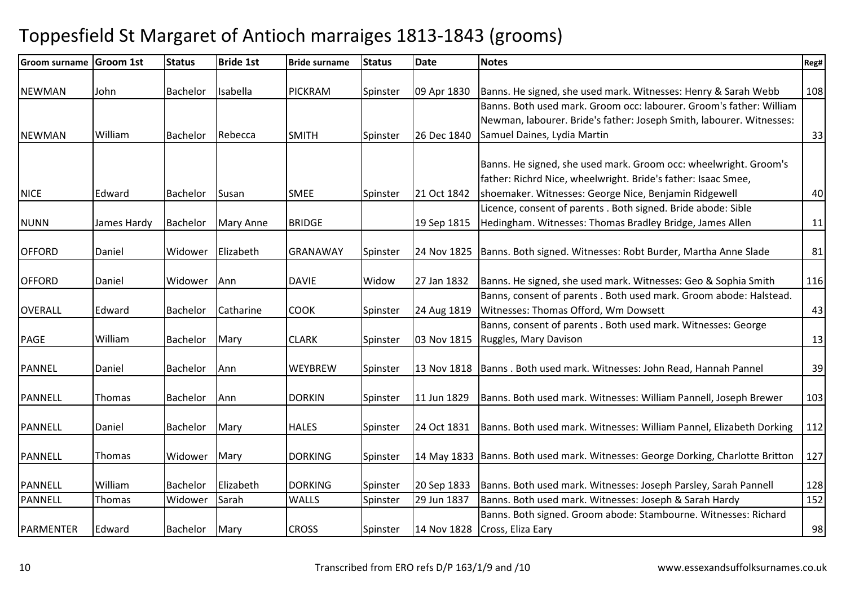| <b>Groom surname</b> | <b>Groom 1st</b> | <b>Status</b>   | <b>Bride 1st</b> | <b>Bride surname</b> | <b>Status</b> | <b>Date</b> | <b>Notes</b>                                                                                                                          | Reg# |
|----------------------|------------------|-----------------|------------------|----------------------|---------------|-------------|---------------------------------------------------------------------------------------------------------------------------------------|------|
| <b>NEWMAN</b>        |                  |                 |                  | <b>PICKRAM</b>       |               |             |                                                                                                                                       |      |
|                      | John             | Bachelor        | Isabella         |                      | Spinster      | 09 Apr 1830 | Banns. He signed, she used mark. Witnesses: Henry & Sarah Webb<br>Banns. Both used mark. Groom occ: labourer. Groom's father: William | 108  |
|                      |                  |                 |                  |                      |               |             |                                                                                                                                       |      |
|                      |                  |                 |                  |                      |               |             | Newman, labourer. Bride's father: Joseph Smith, labourer. Witnesses:                                                                  |      |
| <b>NEWMAN</b>        | William          | <b>Bachelor</b> | Rebecca          | <b>SMITH</b>         | Spinster      | 26 Dec 1840 | Samuel Daines, Lydia Martin                                                                                                           | 33   |
|                      |                  |                 |                  |                      |               |             | Banns. He signed, she used mark. Groom occ: wheelwright. Groom's                                                                      |      |
|                      |                  |                 |                  |                      |               |             |                                                                                                                                       |      |
|                      |                  |                 |                  |                      |               |             | father: Richrd Nice, wheelwright. Bride's father: Isaac Smee,                                                                         |      |
| <b>NICE</b>          | Edward           | Bachelor        | Susan            | <b>SMEE</b>          | Spinster      | 21 Oct 1842 | shoemaker. Witnesses: George Nice, Benjamin Ridgewell                                                                                 | 40   |
|                      |                  |                 |                  |                      |               |             | Licence, consent of parents . Both signed. Bride abode: Sible                                                                         |      |
| <b>NUNN</b>          | James Hardy      | Bachelor        | Mary Anne        | <b>BRIDGE</b>        |               | 19 Sep 1815 | Hedingham. Witnesses: Thomas Bradley Bridge, James Allen                                                                              | 11   |
| <b>OFFORD</b>        | Daniel           | Widower         | Elizabeth        | GRANAWAY             | Spinster      | 24 Nov 1825 | Banns. Both signed. Witnesses: Robt Burder, Martha Anne Slade                                                                         | 81   |
|                      |                  |                 |                  |                      |               |             |                                                                                                                                       |      |
| <b>OFFORD</b>        | Daniel           | Widower         | Ann              | <b>DAVIE</b>         | Widow         | 27 Jan 1832 | Banns. He signed, she used mark. Witnesses: Geo & Sophia Smith                                                                        | 116  |
|                      |                  |                 |                  |                      |               |             | Banns, consent of parents . Both used mark. Groom abode: Halstead.                                                                    |      |
| <b>OVERALL</b>       | Edward           | Bachelor        | Catharine        | <b>COOK</b>          | Spinster      | 24 Aug 1819 | Witnesses: Thomas Offord, Wm Dowsett                                                                                                  | 43   |
|                      |                  |                 |                  |                      |               |             | Banns, consent of parents . Both used mark. Witnesses: George                                                                         |      |
| <b>PAGE</b>          | William          | Bachelor        | Mary             | <b>CLARK</b>         | Spinster      | 03 Nov 1815 | Ruggles, Mary Davison                                                                                                                 | 13   |
| <b>PANNEL</b>        | Daniel           | Bachelor        | Ann              | <b>WEYBREW</b>       | Spinster      | 13 Nov 1818 | Banns. Both used mark. Witnesses: John Read, Hannah Pannel                                                                            | 39   |
|                      |                  |                 |                  |                      |               |             |                                                                                                                                       |      |
| <b>PANNELL</b>       | Thomas           | Bachelor        | Ann              | <b>DORKIN</b>        | Spinster      | 11 Jun 1829 | Banns. Both used mark. Witnesses: William Pannell, Joseph Brewer                                                                      | 103  |
|                      |                  |                 |                  |                      |               |             |                                                                                                                                       |      |
| <b>PANNELL</b>       | Daniel           | <b>Bachelor</b> | Mary             | <b>HALES</b>         | Spinster      | 24 Oct 1831 | Banns. Both used mark. Witnesses: William Pannel, Elizabeth Dorking                                                                   | 112  |
| <b>PANNELL</b>       | Thomas           | Widower         | Mary             | <b>DORKING</b>       | Spinster      |             | 14 May 1833   Banns. Both used mark. Witnesses: George Dorking, Charlotte Britton                                                     | 127  |
|                      |                  |                 |                  |                      |               |             |                                                                                                                                       |      |
| <b>PANNELL</b>       | William          | <b>Bachelor</b> | Elizabeth        | <b>DORKING</b>       | Spinster      | 20 Sep 1833 | Banns. Both used mark. Witnesses: Joseph Parsley, Sarah Pannell                                                                       | 128  |
| <b>PANNELL</b>       | Thomas           | Widower         | Sarah            | <b>WALLS</b>         | Spinster      | 29 Jun 1837 | Banns. Both used mark. Witnesses: Joseph & Sarah Hardy                                                                                | 152  |
|                      |                  |                 |                  |                      |               |             | Banns. Both signed. Groom abode: Stambourne. Witnesses: Richard                                                                       |      |
| <b>PARMENTER</b>     | Edward           | Bachelor        | Mary             | <b>CROSS</b>         | Spinster      |             | 14 Nov 1828 Cross, Eliza Eary                                                                                                         | 98   |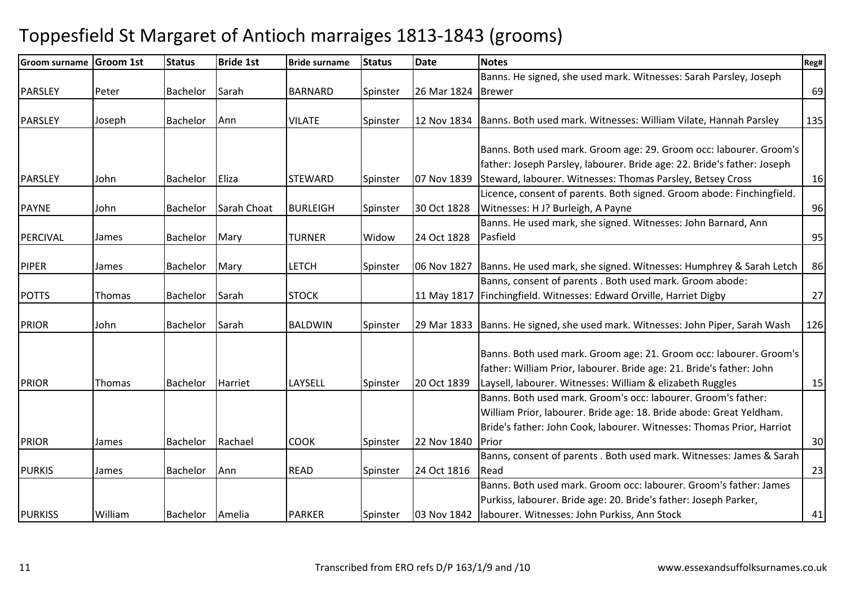| <b>Groom surname</b> | <b>Groom 1st</b> | <b>Status</b>   | <b>Bride 1st</b> | <b>Bride surname</b> | <b>Status</b> | <b>Date</b> | <b>Notes</b>                                                            | Reg# |
|----------------------|------------------|-----------------|------------------|----------------------|---------------|-------------|-------------------------------------------------------------------------|------|
|                      |                  |                 |                  |                      |               |             | Banns. He signed, she used mark. Witnesses: Sarah Parsley, Joseph       |      |
| PARSLEY              | Peter            | <b>Bachelor</b> | Sarah            | <b>BARNARD</b>       | Spinster      | 26 Mar 1824 | <b>Brewer</b>                                                           | 69   |
|                      |                  |                 |                  |                      |               |             |                                                                         |      |
| <b>PARSLEY</b>       | Joseph           | <b>Bachelor</b> | Ann              | <b>VILATE</b>        | Spinster      | 12 Nov 1834 | Banns. Both used mark. Witnesses: William Vilate, Hannah Parsley        | 135  |
|                      |                  |                 |                  |                      |               |             |                                                                         |      |
|                      |                  |                 |                  |                      |               |             | Banns. Both used mark. Groom age: 29. Groom occ: labourer. Groom's      |      |
|                      |                  |                 |                  |                      |               |             | father: Joseph Parsley, labourer. Bride age: 22. Bride's father: Joseph |      |
| PARSLEY              | John             | <b>Bachelor</b> | Eliza            | <b>STEWARD</b>       | Spinster      | 07 Nov 1839 | Steward, labourer. Witnesses: Thomas Parsley, Betsey Cross              | 16   |
|                      |                  |                 |                  |                      |               |             | Licence, consent of parents. Both signed. Groom abode: Finchingfield.   |      |
| <b>PAYNE</b>         | John             | Bachelor        | Sarah Choat      | <b>BURLEIGH</b>      | Spinster      | 30 Oct 1828 | Witnesses: H J? Burleigh, A Payne                                       | 96   |
|                      |                  |                 |                  |                      |               |             | Banns. He used mark, she signed. Witnesses: John Barnard, Ann           |      |
| PERCIVAL             | James            | <b>Bachelor</b> | Mary             | <b>TURNER</b>        | Widow         | 24 Oct 1828 | Pasfield                                                                | 95   |
|                      |                  |                 |                  |                      |               |             |                                                                         |      |
| <b>PIPER</b>         | James            | <b>Bachelor</b> | Mary             | <b>LETCH</b>         | Spinster      | 06 Nov 1827 | Banns. He used mark, she signed. Witnesses: Humphrey & Sarah Letch      | 86   |
|                      |                  |                 |                  |                      |               |             | Banns, consent of parents . Both used mark. Groom abode:                |      |
| <b>POTTS</b>         | Thomas           | <b>Bachelor</b> | Sarah            | <b>STOCK</b>         |               | 11 May 1817 | Finchingfield. Witnesses: Edward Orville, Harriet Digby                 | 27   |
|                      |                  |                 |                  |                      |               |             |                                                                         |      |
| <b>PRIOR</b>         | John             | <b>Bachelor</b> | Sarah            | <b>BALDWIN</b>       | Spinster      | 29 Mar 1833 | Banns. He signed, she used mark. Witnesses: John Piper, Sarah Wash      | 126  |
|                      |                  |                 |                  |                      |               |             |                                                                         |      |
|                      |                  |                 |                  |                      |               |             | Banns. Both used mark. Groom age: 21. Groom occ: labourer. Groom's      |      |
|                      |                  |                 |                  |                      |               |             | father: William Prior, labourer. Bride age: 21. Bride's father: John    |      |
| <b>PRIOR</b>         | Thomas           | <b>Bachelor</b> | Harriet          | LAYSELL              | Spinster      | 20 Oct 1839 | Laysell, labourer. Witnesses: William & elizabeth Ruggles               | 15   |
|                      |                  |                 |                  |                      |               |             | Banns. Both used mark. Groom's occ: labourer. Groom's father:           |      |
|                      |                  |                 |                  |                      |               |             | William Prior, labourer. Bride age: 18. Bride abode: Great Yeldham.     |      |
|                      |                  |                 |                  |                      |               |             | Bride's father: John Cook, labourer. Witnesses: Thomas Prior, Harriot   |      |
| <b>PRIOR</b>         | James            | <b>Bachelor</b> | Rachael          | <b>COOK</b>          | Spinster      | 22 Nov 1840 | Prior                                                                   | 30   |
|                      |                  |                 |                  |                      |               |             | Banns, consent of parents . Both used mark. Witnesses: James & Sarah    |      |
| <b>PURKIS</b>        | James            | <b>Bachelor</b> | Ann              | <b>READ</b>          | Spinster      | 24 Oct 1816 | Read                                                                    | 23   |
|                      |                  |                 |                  |                      |               |             | Banns. Both used mark. Groom occ: labourer. Groom's father: James       |      |
|                      |                  |                 |                  |                      |               |             | Purkiss, labourer. Bride age: 20. Bride's father: Joseph Parker,        |      |
| <b>PURKISS</b>       | William          | Bachelor        | Amelia           | <b>PARKER</b>        | Spinster      | 03 Nov 1842 | labourer. Witnesses: John Purkiss, Ann Stock                            | 41   |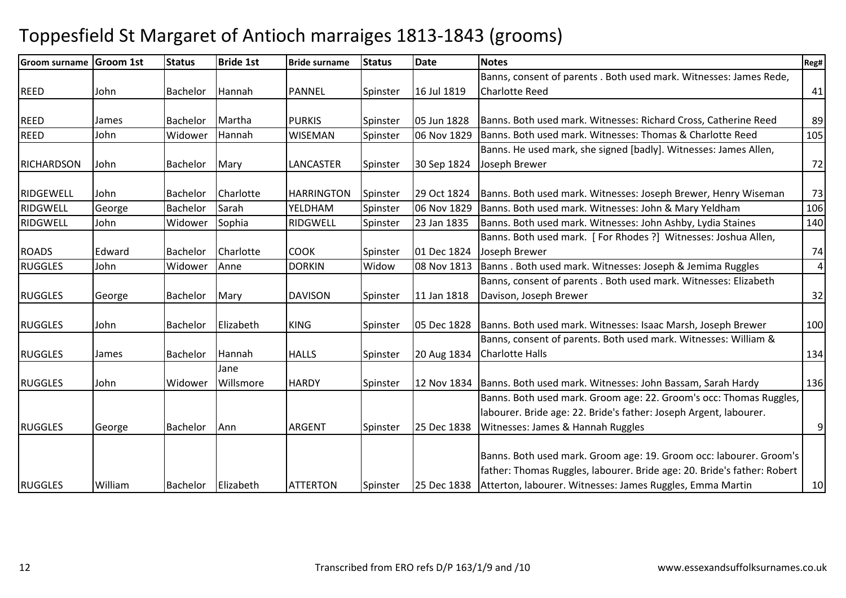| <b>Groom surname</b> | Groom 1st | <b>Status</b>   | <b>Bride 1st</b> | <b>Bride surname</b> | <b>Status</b> | <b>Date</b> | <b>Notes</b>                                                            | Reg#           |
|----------------------|-----------|-----------------|------------------|----------------------|---------------|-------------|-------------------------------------------------------------------------|----------------|
|                      |           |                 |                  |                      |               |             | Banns, consent of parents . Both used mark. Witnesses: James Rede,      |                |
| <b>REED</b>          | John      | <b>Bachelor</b> | Hannah           | PANNEL               | Spinster      | 16 Jul 1819 | <b>Charlotte Reed</b>                                                   | 41             |
|                      |           |                 |                  |                      |               |             |                                                                         |                |
| <b>REED</b>          | James     | <b>Bachelor</b> | Martha           | <b>PURKIS</b>        | Spinster      | 05 Jun 1828 | Banns. Both used mark. Witnesses: Richard Cross, Catherine Reed         | 89             |
| <b>REED</b>          | John      | Widower         | Hannah           | <b>WISEMAN</b>       | Spinster      | 06 Nov 1829 | Banns. Both used mark. Witnesses: Thomas & Charlotte Reed               | 105            |
|                      |           |                 |                  |                      |               |             | Banns. He used mark, she signed [badly]. Witnesses: James Allen,        |                |
| <b>RICHARDSON</b>    | John      | Bachelor        | Mary             | LANCASTER            | Spinster      | 30 Sep 1824 | Joseph Brewer                                                           | 72             |
|                      |           |                 |                  |                      |               |             |                                                                         |                |
| RIDGEWELL            | John      | <b>Bachelor</b> | Charlotte        | <b>HARRINGTON</b>    | Spinster      | 29 Oct 1824 | Banns. Both used mark. Witnesses: Joseph Brewer, Henry Wiseman          | 73             |
| RIDGWELL             | George    | Bachelor        | Sarah            | YELDHAM              | Spinster      | 06 Nov 1829 | Banns. Both used mark. Witnesses: John & Mary Yeldham                   | 106            |
| <b>RIDGWELL</b>      | John      | Widower         | Sophia           | <b>RIDGWELL</b>      | Spinster      | 23 Jan 1835 | Banns. Both used mark. Witnesses: John Ashby, Lydia Staines             | 140            |
|                      |           |                 |                  |                      |               |             | Banns. Both used mark. [For Rhodes ?] Witnesses: Joshua Allen,          |                |
| <b>ROADS</b>         | Edward    | Bachelor        | Charlotte        | <b>COOK</b>          | Spinster      | 01 Dec 1824 | Joseph Brewer                                                           | 74             |
| <b>RUGGLES</b>       | John      | Widower         | Anne             | <b>DORKIN</b>        | Widow         | 08 Nov 1813 | Banns. Both used mark. Witnesses: Joseph & Jemima Ruggles               | $\vert$        |
|                      |           |                 |                  |                      |               |             | Banns, consent of parents . Both used mark. Witnesses: Elizabeth        |                |
| <b>RUGGLES</b>       | George    | <b>Bachelor</b> | Mary             | <b>DAVISON</b>       | Spinster      | 11 Jan 1818 | Davison, Joseph Brewer                                                  | 32             |
|                      |           |                 |                  |                      |               |             |                                                                         |                |
| <b>RUGGLES</b>       | John      | <b>Bachelor</b> | Elizabeth        | <b>KING</b>          | Spinster      | 05 Dec 1828 | Banns. Both used mark. Witnesses: Isaac Marsh, Joseph Brewer            | 100            |
|                      |           |                 |                  |                      |               |             | Banns, consent of parents. Both used mark. Witnesses: William &         |                |
| <b>RUGGLES</b>       | James     | Bachelor        | Hannah           | <b>HALLS</b>         | Spinster      | 20 Aug 1834 | <b>Charlotte Halls</b>                                                  | 134            |
|                      |           |                 | Jane             |                      |               |             |                                                                         |                |
| <b>RUGGLES</b>       | John      | Widower         | Willsmore        | <b>HARDY</b>         | Spinster      | 12 Nov 1834 | Banns. Both used mark. Witnesses: John Bassam, Sarah Hardy              | 136            |
|                      |           |                 |                  |                      |               |             | Banns. Both used mark. Groom age: 22. Groom's occ: Thomas Ruggles,      |                |
|                      |           |                 |                  |                      |               |             | labourer. Bride age: 22. Bride's father: Joseph Argent, labourer.       |                |
| <b>RUGGLES</b>       | George    | <b>Bachelor</b> | Ann              | <b>ARGENT</b>        | Spinster      | 25 Dec 1838 | Witnesses: James & Hannah Ruggles                                       | $\overline{9}$ |
|                      |           |                 |                  |                      |               |             |                                                                         |                |
|                      |           |                 |                  |                      |               |             | Banns. Both used mark. Groom age: 19. Groom occ: labourer. Groom's      |                |
|                      |           |                 |                  |                      |               |             | father: Thomas Ruggles, labourer. Bride age: 20. Bride's father: Robert |                |
| <b>RUGGLES</b>       | William   | <b>Bachelor</b> | Elizabeth        | <b>ATTERTON</b>      | Spinster      | 25 Dec 1838 | Atterton, labourer. Witnesses: James Ruggles, Emma Martin               | 10             |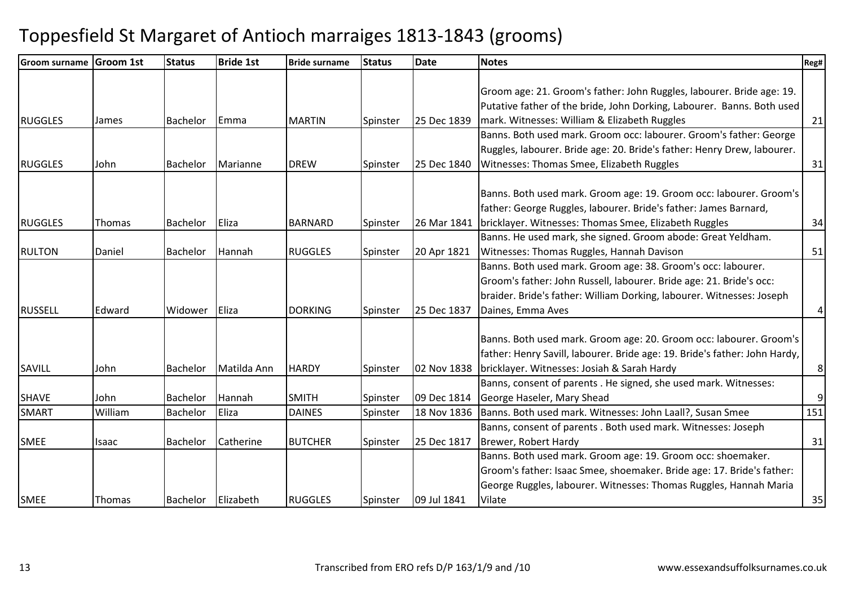| Groom surname Groom 1st |              | <b>Status</b>   | <b>Bride 1st</b> | <b>Bride surname</b> | <b>Status</b> | <b>Date</b> | <b>Notes</b>                                                               | Reg#             |
|-------------------------|--------------|-----------------|------------------|----------------------|---------------|-------------|----------------------------------------------------------------------------|------------------|
|                         |              |                 |                  |                      |               |             |                                                                            |                  |
|                         |              |                 |                  |                      |               |             | Groom age: 21. Groom's father: John Ruggles, labourer. Bride age: 19.      |                  |
|                         |              |                 |                  |                      |               |             | Putative father of the bride, John Dorking, Labourer. Banns. Both used     |                  |
| <b>RUGGLES</b>          | James        | <b>Bachelor</b> | <b>IEmma</b>     | <b>MARTIN</b>        | Spinster      | 25 Dec 1839 | mark. Witnesses: William & Elizabeth Ruggles                               | 21               |
|                         |              |                 |                  |                      |               |             | Banns. Both used mark. Groom occ: labourer. Groom's father: George         |                  |
|                         |              |                 |                  |                      |               |             | Ruggles, labourer. Bride age: 20. Bride's father: Henry Drew, labourer.    |                  |
| <b>RUGGLES</b>          | John         | Bachelor        | Marianne         | <b>DREW</b>          | Spinster      | 25 Dec 1840 | Witnesses: Thomas Smee, Elizabeth Ruggles                                  | 31               |
|                         |              |                 |                  |                      |               |             |                                                                            |                  |
|                         |              |                 |                  |                      |               |             | Banns. Both used mark. Groom age: 19. Groom occ: labourer. Groom's         |                  |
|                         |              |                 |                  |                      |               |             | father: George Ruggles, labourer. Bride's father: James Barnard,           |                  |
| <b>RUGGLES</b>          | Thomas       | <b>Bachelor</b> | Eliza            | <b>BARNARD</b>       | Spinster      | 26 Mar 1841 | bricklayer. Witnesses: Thomas Smee, Elizabeth Ruggles                      | 34               |
|                         |              |                 |                  |                      |               |             | Banns. He used mark, she signed. Groom abode: Great Yeldham.               |                  |
| <b>RULTON</b>           | Daniel       | <b>Bachelor</b> | Hannah           | <b>RUGGLES</b>       | Spinster      | 20 Apr 1821 | Witnesses: Thomas Ruggles, Hannah Davison                                  | 51               |
|                         |              |                 |                  |                      |               |             | Banns. Both used mark. Groom age: 38. Groom's occ: labourer.               |                  |
|                         |              |                 |                  |                      |               |             | Groom's father: John Russell, labourer. Bride age: 21. Bride's occ:        |                  |
|                         |              |                 |                  |                      |               |             | braider. Bride's father: William Dorking, labourer. Witnesses: Joseph      |                  |
| <b>RUSSELL</b>          | Edward       | Widower         | Eliza            | <b>DORKING</b>       | Spinster      | 25 Dec 1837 | Daines, Emma Aves                                                          | 4                |
|                         |              |                 |                  |                      |               |             | Banns. Both used mark. Groom age: 20. Groom occ: labourer. Groom's         |                  |
|                         |              |                 |                  |                      |               |             | father: Henry Savill, labourer. Bride age: 19. Bride's father: John Hardy, |                  |
| SAVILL                  | John         | <b>Bachelor</b> | Matilda Ann      | <b>HARDY</b>         | Spinster      | 02 Nov 1838 | bricklayer. Witnesses: Josiah & Sarah Hardy                                | 8                |
|                         |              |                 |                  |                      |               |             | Banns, consent of parents . He signed, she used mark. Witnesses:           |                  |
| <b>SHAVE</b>            | John         | <b>Bachelor</b> | Hannah           | <b>SMITH</b>         | Spinster      | 09 Dec 1814 | George Haseler, Mary Shead                                                 | $\boldsymbol{9}$ |
| <b>SMART</b>            | William      | <b>Bachelor</b> | Eliza            | <b>DAINES</b>        | Spinster      | 18 Nov 1836 | Banns. Both used mark. Witnesses: John Laall?, Susan Smee                  | 151              |
|                         |              |                 |                  |                      |               |             | Banns, consent of parents . Both used mark. Witnesses: Joseph              |                  |
| <b>SMEE</b>             | <b>Isaac</b> | <b>Bachelor</b> | Catherine        | <b>BUTCHER</b>       | Spinster      | 25 Dec 1817 | Brewer, Robert Hardy                                                       | 31               |
|                         |              |                 |                  |                      |               |             | Banns. Both used mark. Groom age: 19. Groom occ: shoemaker.                |                  |
|                         |              |                 |                  |                      |               |             | Groom's father: Isaac Smee, shoemaker. Bride age: 17. Bride's father:      |                  |
|                         |              |                 |                  |                      |               |             | George Ruggles, labourer. Witnesses: Thomas Ruggles, Hannah Maria          |                  |
| <b>SMEE</b>             | Thomas       | Bachelor        | Elizabeth        | <b>RUGGLES</b>       | Spinster      | 09 Jul 1841 | Vilate                                                                     | 35               |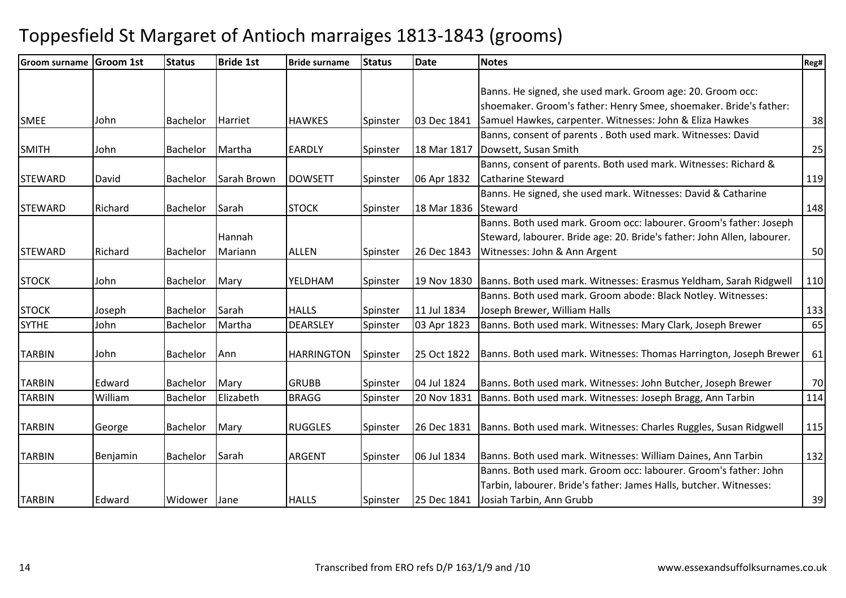| Groom surname Groom 1st |          | <b>Status</b> | <b>Bride 1st</b> | <b>Bride surname</b> | <b>Status</b> | <b>Date</b> | <b>Notes</b>                                                            | Reg# |
|-------------------------|----------|---------------|------------------|----------------------|---------------|-------------|-------------------------------------------------------------------------|------|
|                         |          |               |                  |                      |               |             |                                                                         |      |
|                         |          |               |                  |                      |               |             | Banns. He signed, she used mark. Groom age: 20. Groom occ:              |      |
|                         |          |               |                  |                      |               |             | shoemaker. Groom's father: Henry Smee, shoemaker. Bride's father:       |      |
| <b>SMEE</b>             | John     | Bachelor      | Harriet          | <b>HAWKES</b>        | Spinster      | 03 Dec 1841 | Samuel Hawkes, carpenter. Witnesses: John & Eliza Hawkes                | 38   |
|                         |          |               |                  |                      |               |             | Banns, consent of parents . Both used mark. Witnesses: David            |      |
| <b>SMITH</b>            | John     | Bachelor      | Martha           | <b>EARDLY</b>        | Spinster      | 18 Mar 1817 | Dowsett, Susan Smith                                                    | 25   |
|                         |          |               |                  |                      |               |             | Banns, consent of parents. Both used mark. Witnesses: Richard &         |      |
| <b>STEWARD</b>          | David    | Bachelor      | Sarah Brown      | <b>DOWSETT</b>       | Spinster      | 06 Apr 1832 | <b>Catharine Steward</b>                                                | 119  |
|                         |          |               |                  |                      |               |             | Banns. He signed, she used mark. Witnesses: David & Catharine           |      |
| <b>STEWARD</b>          | Richard  | Bachelor      | Sarah            | <b>STOCK</b>         | Spinster      | 18 Mar 1836 | Steward                                                                 | 148  |
|                         |          |               |                  |                      |               |             | Banns. Both used mark. Groom occ: labourer. Groom's father: Joseph      |      |
|                         |          |               | Hannah           |                      |               |             | Steward, labourer. Bride age: 20. Bride's father: John Allen, labourer. |      |
| <b>STEWARD</b>          | Richard  | Bachelor      | Mariann          | <b>ALLEN</b>         | Spinster      | 26 Dec 1843 | Witnesses: John & Ann Argent                                            | 50   |
|                         |          |               |                  |                      |               |             |                                                                         |      |
| <b>STOCK</b>            | John     | Bachelor      | Mary             | YELDHAM              | Spinster      | 19 Nov 1830 | Banns. Both used mark. Witnesses: Erasmus Yeldham, Sarah Ridgwell       | 110  |
|                         |          |               |                  |                      |               |             | Banns. Both used mark. Groom abode: Black Notley. Witnesses:            |      |
| <b>STOCK</b>            | Joseph   | Bachelor      | Sarah            | <b>HALLS</b>         | Spinster      | 11 Jul 1834 | Joseph Brewer, William Halls                                            | 133  |
| <b>SYTHE</b>            | John     | Bachelor      | Martha           | <b>DEARSLEY</b>      | Spinster      | 03 Apr 1823 | Banns. Both used mark. Witnesses: Mary Clark, Joseph Brewer             | 65   |
|                         |          |               |                  |                      |               |             |                                                                         |      |
| <b>TARBIN</b>           | John     | Bachelor      | Ann              | <b>HARRINGTON</b>    | Spinster      | 25 Oct 1822 | Banns. Both used mark. Witnesses: Thomas Harrington, Joseph Brewer      | 61   |
|                         |          |               |                  |                      |               |             |                                                                         |      |
| <b>TARBIN</b>           | Edward   | Bachelor      | Mary             | <b>GRUBB</b>         | Spinster      | 04 Jul 1824 | Banns. Both used mark. Witnesses: John Butcher, Joseph Brewer           | 70   |
| <b>TARBIN</b>           | William  | Bachelor      | Elizabeth        | <b>BRAGG</b>         | Spinster      | 20 Nov 1831 | Banns. Both used mark. Witnesses: Joseph Bragg, Ann Tarbin              | 114  |
|                         |          |               |                  |                      |               |             |                                                                         |      |
| <b>TARBIN</b>           | George   | Bachelor      | Mary             | <b>RUGGLES</b>       | Spinster      | 26 Dec 1831 | Banns. Both used mark. Witnesses: Charles Ruggles, Susan Ridgwell       | 115  |
|                         |          |               |                  |                      |               |             |                                                                         |      |
| <b>TARBIN</b>           | Benjamin | Bachelor      | Sarah            | <b>ARGENT</b>        | Spinster      | 06 Jul 1834 | Banns. Both used mark. Witnesses: William Daines, Ann Tarbin            | 132  |
|                         |          |               |                  |                      |               |             | Banns. Both used mark. Groom occ: labourer. Groom's father: John        |      |
|                         |          |               |                  |                      |               |             | Tarbin, labourer. Bride's father: James Halls, butcher. Witnesses:      |      |
| <b>TARBIN</b>           | Edward   | Widower       | Jane             | <b>HALLS</b>         | Spinster      | 25 Dec 1841 | Josiah Tarbin, Ann Grubb                                                | 39   |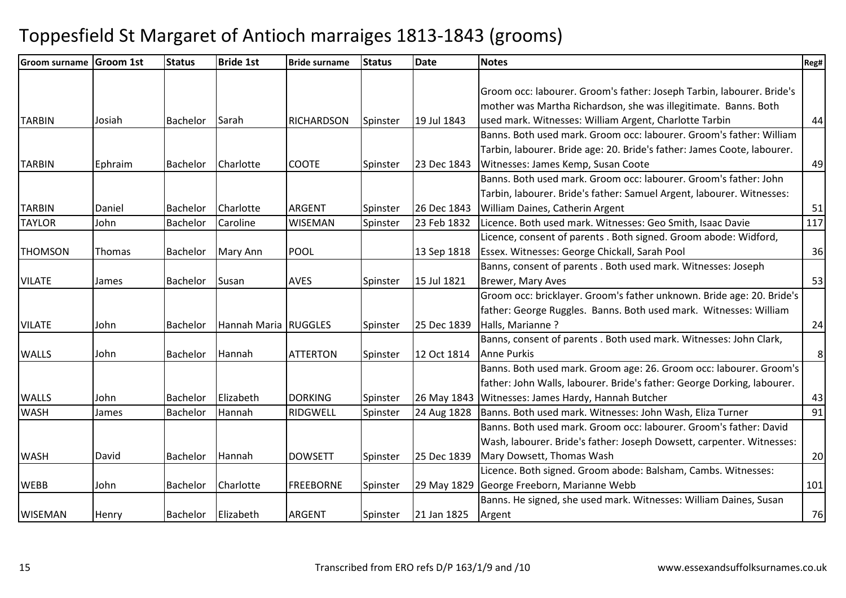| Groom surname Groom 1st |         | <b>Status</b>   | <b>Bride 1st</b>     | <b>Bride surname</b> | <b>Status</b> | <b>Date</b> | <b>Notes</b>                                                            | Reg#           |
|-------------------------|---------|-----------------|----------------------|----------------------|---------------|-------------|-------------------------------------------------------------------------|----------------|
|                         |         |                 |                      |                      |               |             |                                                                         |                |
|                         |         |                 |                      |                      |               |             | Groom occ: labourer. Groom's father: Joseph Tarbin, labourer. Bride's   |                |
|                         |         |                 |                      |                      |               |             | mother was Martha Richardson, she was illegitimate. Banns. Both         |                |
| <b>TARBIN</b>           | Josiah  | <b>Bachelor</b> | Sarah                | <b>RICHARDSON</b>    | Spinster      | 19 Jul 1843 | used mark. Witnesses: William Argent, Charlotte Tarbin                  | 44             |
|                         |         |                 |                      |                      |               |             | Banns. Both used mark. Groom occ: labourer. Groom's father: William     |                |
|                         |         |                 |                      |                      |               |             | Tarbin, labourer. Bride age: 20. Bride's father: James Coote, labourer. |                |
| <b>TARBIN</b>           | Ephraim | Bachelor        | Charlotte            | <b>COOTE</b>         | Spinster      | 23 Dec 1843 | Witnesses: James Kemp, Susan Coote                                      | 49             |
|                         |         |                 |                      |                      |               |             | Banns. Both used mark. Groom occ: labourer. Groom's father: John        |                |
|                         |         |                 |                      |                      |               |             | Tarbin, labourer. Bride's father: Samuel Argent, labourer. Witnesses:   |                |
| <b>TARBIN</b>           | Daniel  | <b>Bachelor</b> | Charlotte            | ARGENT               | Spinster      | 26 Dec 1843 | William Daines, Catherin Argent                                         | 51             |
| <b>TAYLOR</b>           | John    | <b>Bachelor</b> | Caroline             | <b>WISEMAN</b>       | Spinster      | 23 Feb 1832 | Licence. Both used mark. Witnesses: Geo Smith, Isaac Davie              | 117            |
|                         |         |                 |                      |                      |               |             | Licence, consent of parents . Both signed. Groom abode: Widford,        |                |
| <b>THOMSON</b>          | Thomas  | Bachelor        | Mary Ann             | POOL                 |               | 13 Sep 1818 | Essex. Witnesses: George Chickall, Sarah Pool                           | 36             |
|                         |         |                 |                      |                      |               |             | Banns, consent of parents . Both used mark. Witnesses: Joseph           |                |
| <b>VILATE</b>           | James   | <b>Bachelor</b> | Susan                | <b>AVES</b>          | Spinster      | 15 Jul 1821 | <b>Brewer, Mary Aves</b>                                                | 53             |
|                         |         |                 |                      |                      |               |             | Groom occ: bricklayer. Groom's father unknown. Bride age: 20. Bride's   |                |
|                         |         |                 |                      |                      |               |             | father: George Ruggles. Banns. Both used mark. Witnesses: William       |                |
| <b>VILATE</b>           | John    | <b>Bachelor</b> | Hannah Maria RUGGLES |                      | Spinster      | 25 Dec 1839 | Halls, Marianne?                                                        | 24             |
|                         |         |                 |                      |                      |               |             | Banns, consent of parents . Both used mark. Witnesses: John Clark,      |                |
| <b>WALLS</b>            | John    | <b>Bachelor</b> | Hannah               | <b>ATTERTON</b>      | Spinster      | 12 Oct 1814 | <b>Anne Purkis</b>                                                      | 8 <sup>°</sup> |
|                         |         |                 |                      |                      |               |             | Banns. Both used mark. Groom age: 26. Groom occ: labourer. Groom's      |                |
|                         |         |                 |                      |                      |               |             | father: John Walls, labourer. Bride's father: George Dorking, labourer. |                |
| <b>WALLS</b>            | John    | <b>Bachelor</b> | Elizabeth            | <b>DORKING</b>       | Spinster      | 26 May 1843 | Witnesses: James Hardy, Hannah Butcher                                  | 43             |
| <b>WASH</b>             | James   | <b>Bachelor</b> | Hannah               | RIDGWELL             | Spinster      | 24 Aug 1828 | Banns. Both used mark. Witnesses: John Wash, Eliza Turner               | 91             |
|                         |         |                 |                      |                      |               |             | Banns. Both used mark. Groom occ: labourer. Groom's father: David       |                |
|                         |         |                 |                      |                      |               |             | Wash, labourer. Bride's father: Joseph Dowsett, carpenter. Witnesses:   |                |
| <b>WASH</b>             | David   | <b>Bachelor</b> | Hannah               | <b>DOWSETT</b>       | Spinster      | 25 Dec 1839 | Mary Dowsett, Thomas Wash                                               | 20             |
|                         |         |                 |                      |                      |               |             | Licence. Both signed. Groom abode: Balsham, Cambs. Witnesses:           |                |
| <b>WEBB</b>             | John    | <b>Bachelor</b> | Charlotte            | <b>FREEBORNE</b>     | Spinster      | 29 May 1829 | George Freeborn, Marianne Webb                                          | 101            |
|                         |         |                 |                      |                      |               |             | Banns. He signed, she used mark. Witnesses: William Daines, Susan       |                |
| <b>WISEMAN</b>          | Henry   | Bachelor        | Elizabeth            | <b>ARGENT</b>        | Spinster      | 21 Jan 1825 | Argent                                                                  | 76             |